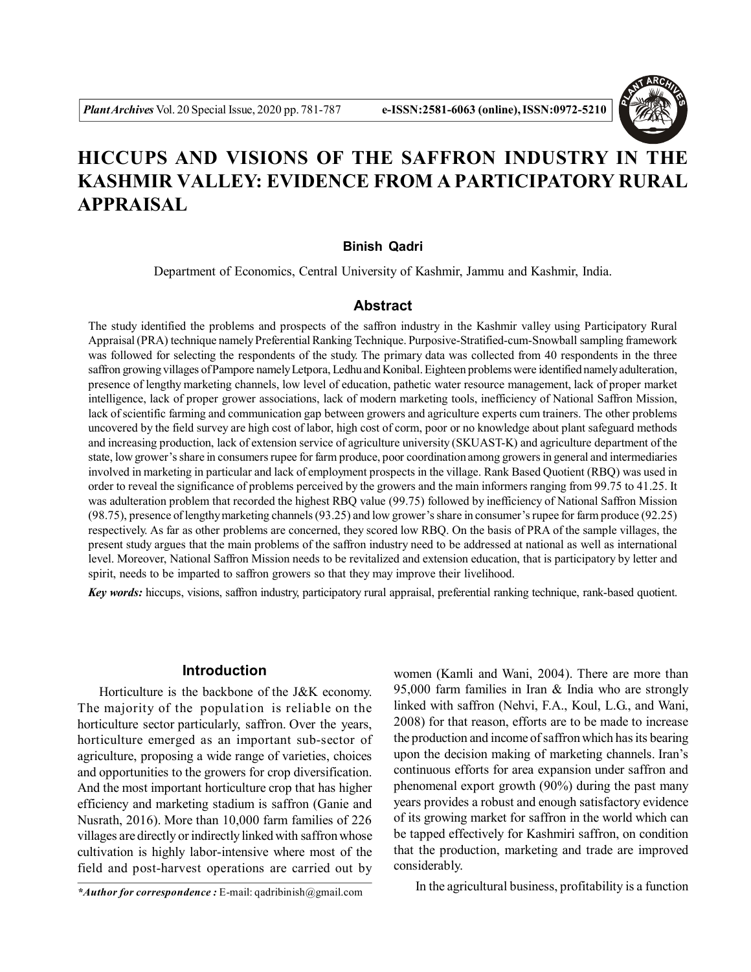

# **HICCUPS AND VISIONS OF THE SAFFRON INDUSTRY IN THE KASHMIR VALLEY: EVIDENCE FROM A PARTICIPATORY RURAL APPRAISAL**

#### **Binish Qadri**

Department of Economics, Central University of Kashmir, Jammu and Kashmir, India.

## **Abstract**

The study identified the problems and prospects of the saffron industry in the Kashmir valley using Participatory Rural Appraisal (PRA) technique namely Preferential Ranking Technique. Purposive-Stratified-cum-Snowball sampling framework was followed for selecting the respondents of the study. The primary data was collected from 40 respondents in the three saffron growing villages of Pampore namely Letpora, Ledhu and Konibal. Eighteen problems were identified namely adulteration, presence of lengthy marketing channels, low level of education, pathetic water resource management, lack of proper market intelligence, lack of proper grower associations, lack of modern marketing tools, inefficiency of National Saffron Mission, lack of scientific farming and communication gap between growers and agriculture experts cum trainers. The other problems uncovered by the field survey are high cost of labor, high cost of corm, poor or no knowledge about plant safeguard methods and increasing production, lack of extension service of agriculture university (SKUAST-K) and agriculture department of the state, low grower's share in consumers rupee for farm produce, poor coordination among growers in general and intermediaries involved in marketing in particular and lack of employment prospects in the village. Rank Based Quotient (RBQ) was used in order to reveal the significance of problems perceived by the growers and the main informers ranging from 99.75 to 41.25. It was adulteration problem that recorded the highest RBQ value (99.75) followed by inefficiency of National Saffron Mission (98.75), presence of lengthy marketing channels (93.25) and low grower's share in consumer's rupee for farm produce (92.25) respectively. As far as other problems are concerned, they scored low RBQ. On the basis of PRA of the sample villages, the present study argues that the main problems of the saffron industry need to be addressed at national as well as international level. Moreover, National Saffron Mission needs to be revitalized and extension education, that is participatory by letter and spirit, needs to be imparted to saffron growers so that they may improve their livelihood.

*Key words:* hiccups, visions, saffron industry, participatory rural appraisal, preferential ranking technique, rank-based quotient.

## **Introduction**

Horticulture is the backbone of the J&K economy. The majority of the population is reliable on the horticulture sector particularly, saffron. Over the years, horticulture emerged as an important sub-sector of agriculture, proposing a wide range of varieties, choices and opportunities to the growers for crop diversification. And the most important horticulture crop that has higher efficiency and marketing stadium is saffron (Ganie and Nusrath, 2016). More than 10,000 farm families of 226 villages are directly or indirectly linked with saffron whose cultivation is highly labor-intensive where most of the field and post-harvest operations are carried out by

*\*Author for correspondence :* E-mail: qadribinish@gmail.com

women (Kamli and Wani, 2004). There are more than 95,000 farm families in Iran & India who are strongly linked with saffron (Nehvi, F.A., Koul, L.G., and Wani, 2008) for that reason, efforts are to be made to increase the production and income of saffron which has its bearing upon the decision making of marketing channels. Iran's continuous efforts for area expansion under saffron and phenomenal export growth (90%) during the past many years provides a robust and enough satisfactory evidence of its growing market for saffron in the world which can be tapped effectively for Kashmiri saffron, on condition that the production, marketing and trade are improved considerably.

In the agricultural business, profitability is a function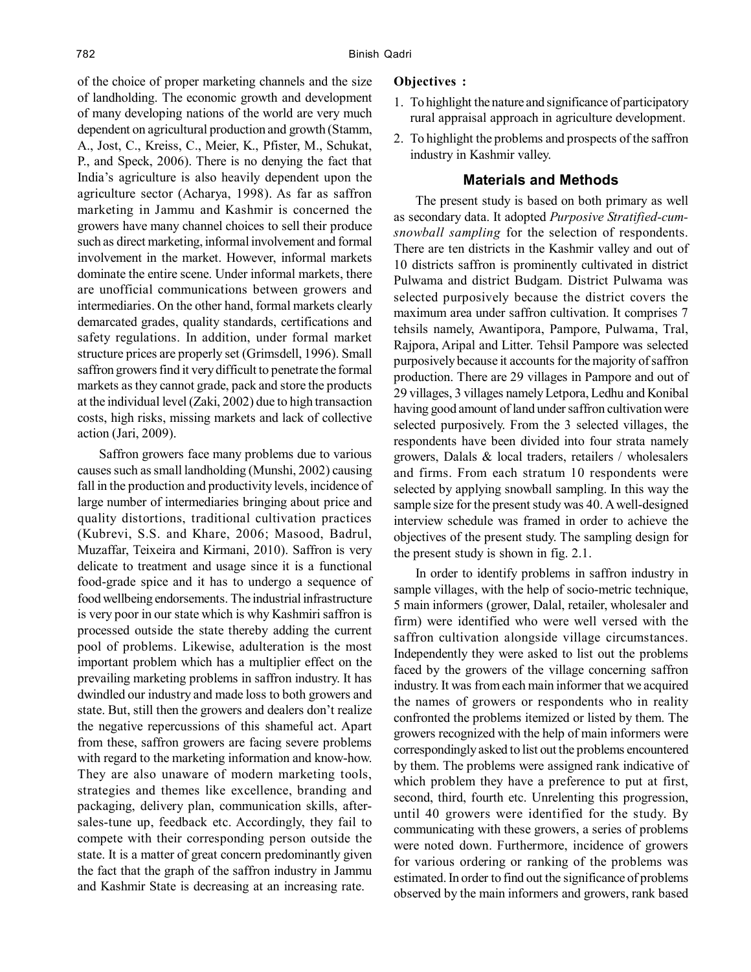of the choice of proper marketing channels and the size of landholding. The economic growth and development of many developing nations of the world are very much dependent on agricultural production and growth (Stamm, A., Jost, C., Kreiss, C., Meier, K., Pfister, M., Schukat, P., and Speck, 2006). There is no denying the fact that India's agriculture is also heavily dependent upon the agriculture sector (Acharya, 1998). As far as saffron marketing in Jammu and Kashmir is concerned the growers have many channel choices to sell their produce such as direct marketing, informal involvement and formal involvement in the market. However, informal markets dominate the entire scene. Under informal markets, there are unofficial communications between growers and intermediaries. On the other hand, formal markets clearly demarcated grades, quality standards, certifications and safety regulations. In addition, under formal market structure prices are properly set (Grimsdell, 1996). Small saffron growers find it very difficult to penetrate the formal markets as they cannot grade, pack and store the products at the individual level (Zaki, 2002) due to high transaction costs, high risks, missing markets and lack of collective action (Jari, 2009).

Saffron growers face many problems due to various causes such as small landholding (Munshi, 2002) causing fall in the production and productivity levels, incidence of large number of intermediaries bringing about price and quality distortions, traditional cultivation practices (Kubrevi, S.S. and Khare, 2006; Masood, Badrul, Muzaffar, Teixeira and Kirmani, 2010). Saffron is very delicate to treatment and usage since it is a functional food-grade spice and it has to undergo a sequence of food wellbeing endorsements. The industrial infrastructure is very poor in our state which is why Kashmiri saffron is processed outside the state thereby adding the current pool of problems. Likewise, adulteration is the most important problem which has a multiplier effect on the prevailing marketing problems in saffron industry. It has dwindled our industry and made loss to both growers and state. But, still then the growers and dealers don't realize the negative repercussions of this shameful act. Apart from these, saffron growers are facing severe problems with regard to the marketing information and know-how. They are also unaware of modern marketing tools, strategies and themes like excellence, branding and packaging, delivery plan, communication skills, aftersales-tune up, feedback etc. Accordingly, they fail to compete with their corresponding person outside the state. It is a matter of great concern predominantly given the fact that the graph of the saffron industry in Jammu and Kashmir State is decreasing at an increasing rate.

## **Objectives :**

- 1. To highlight the nature and significance of participatory rural appraisal approach in agriculture development.
- 2. To highlight the problems and prospects of the saffron industry in Kashmir valley.

## **Materials and Methods**

The present study is based on both primary as well as secondary data. It adopted *Purposive Stratified-cumsnowball sampling* for the selection of respondents. There are ten districts in the Kashmir valley and out of 10 districts saffron is prominently cultivated in district Pulwama and district Budgam. District Pulwama was selected purposively because the district covers the maximum area under saffron cultivation. It comprises 7 tehsils namely, Awantipora, Pampore, Pulwama, Tral, Rajpora, Aripal and Litter. Tehsil Pampore was selected purposively because it accounts for the majority of saffron production. There are 29 villages in Pampore and out of 29 villages, 3 villages namely Letpora, Ledhu and Konibal having good amount of land under saffron cultivation were selected purposively. From the 3 selected villages, the respondents have been divided into four strata namely growers, Dalals & local traders, retailers / wholesalers and firms. From each stratum 10 respondents were selected by applying snowball sampling. In this way the sample size for the present study was 40. A well-designed interview schedule was framed in order to achieve the objectives of the present study. The sampling design for the present study is shown in fig. 2.1.

In order to identify problems in saffron industry in sample villages, with the help of socio-metric technique, 5 main informers (grower, Dalal, retailer, wholesaler and firm) were identified who were well versed with the saffron cultivation alongside village circumstances. Independently they were asked to list out the problems faced by the growers of the village concerning saffron industry. It was from each main informer that we acquired the names of growers or respondents who in reality confronted the problems itemized or listed by them. The growers recognized with the help of main informers were correspondingly asked to list out the problems encountered by them. The problems were assigned rank indicative of which problem they have a preference to put at first, second, third, fourth etc. Unrelenting this progression, until 40 growers were identified for the study. By communicating with these growers, a series of problems were noted down. Furthermore, incidence of growers for various ordering or ranking of the problems was estimated. In order to find out the significance of problems observed by the main informers and growers, rank based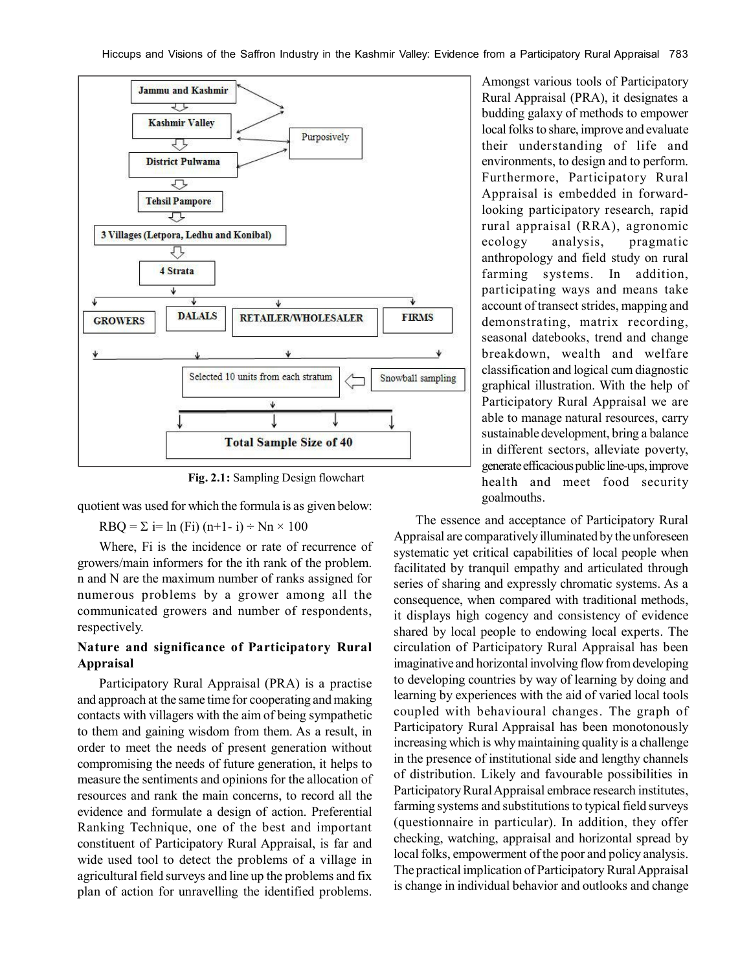

**Fig. 2.1:** Sampling Design flowchart

quotient was used for which the formula is as given below:

 $RBQ = \Sigma$  i= ln (Fi) (n+1- i) ÷ Nn × 100

Where, Fi is the incidence or rate of recurrence of growers/main informers for the ith rank of the problem. n and N are the maximum number of ranks assigned for numerous problems by a grower among all the communicated growers and number of respondents, respectively.

# **Nature and significance of Participatory Rural Appraisal**

Participatory Rural Appraisal (PRA) is a practise and approach at the same time for cooperating and making contacts with villagers with the aim of being sympathetic to them and gaining wisdom from them. As a result, in order to meet the needs of present generation without compromising the needs of future generation, it helps to measure the sentiments and opinions for the allocation of resources and rank the main concerns, to record all the evidence and formulate a design of action. Preferential Ranking Technique, one of the best and important constituent of Participatory Rural Appraisal, is far and wide used tool to detect the problems of a village in agricultural field surveys and line up the problems and fix plan of action for unravelling the identified problems.

Amongst various tools of Participatory Rural Appraisal (PRA), it designates a budding galaxy of methods to empower local folks to share, improve and evaluate their understanding of life and environments, to design and to perform. Furthermore, Participatory Rural Appraisal is embedded in forwardlooking participatory research, rapid rural appraisal (RRA), agronomic ecology analysis, pragmatic anthropology and field study on rural farming systems. In addition, participating ways and means take account of transect strides, mapping and demonstrating, matrix recording, seasonal datebooks, trend and change breakdown, wealth and welfare classification and logical cum diagnostic graphical illustration. With the help of Participatory Rural Appraisal we are able to manage natural resources, carry sustainable development, bring a balance in different sectors, alleviate poverty, generate efficacious public line-ups, improve health and meet food security goalmouths.

The essence and acceptance of Participatory Rural Appraisal are comparatively illuminated by the unforeseen systematic yet critical capabilities of local people when facilitated by tranquil empathy and articulated through series of sharing and expressly chromatic systems. As a consequence, when compared with traditional methods, it displays high cogency and consistency of evidence shared by local people to endowing local experts. The circulation of Participatory Rural Appraisal has been imaginative and horizontal involving flow from developing to developing countries by way of learning by doing and learning by experiences with the aid of varied local tools coupled with behavioural changes. The graph of Participatory Rural Appraisal has been monotonously increasing which is why maintaining quality is a challenge in the presence of institutional side and lengthy channels of distribution. Likely and favourable possibilities in Participatory Rural Appraisal embrace research institutes, farming systems and substitutions to typical field surveys (questionnaire in particular). In addition, they offer checking, watching, appraisal and horizontal spread by local folks, empowerment of the poor and policy analysis. The practical implication of Participatory Rural Appraisal is change in individual behavior and outlooks and change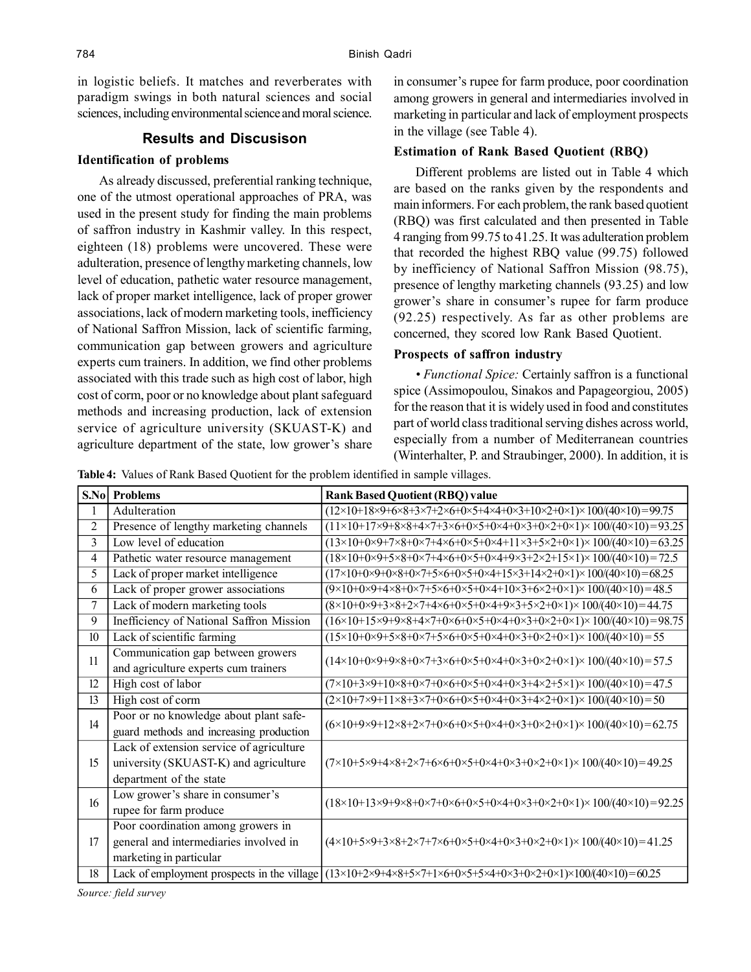in logistic beliefs. It matches and reverberates with paradigm swings in both natural sciences and social sciences, including environmental science and moral science.

## **Results and Discusison**

#### **Identification of problems**

As already discussed, preferential ranking technique, one of the utmost operational approaches of PRA, was used in the present study for finding the main problems of saffron industry in Kashmir valley. In this respect, eighteen (18) problems were uncovered. These were adulteration, presence of lengthy marketing channels, low level of education, pathetic water resource management, lack of proper market intelligence, lack of proper grower associations, lack of modern marketing tools, inefficiency of National Saffron Mission, lack of scientific farming, communication gap between growers and agriculture experts cum trainers. In addition, we find other problems associated with this trade such as high cost of labor, high cost of corm, poor or no knowledge about plant safeguard methods and increasing production, lack of extension service of agriculture university (SKUAST-K) and agriculture department of the state, low grower's share

in consumer's rupee for farm produce, poor coordination among growers in general and intermediaries involved in marketing in particular and lack of employment prospects in the village (see Table 4).

# **Estimation of Rank Based Quotient (RBQ)**

Different problems are listed out in Table 4 which are based on the ranks given by the respondents and main informers. For each problem, the rank based quotient (RBQ) was first calculated and then presented in Table 4 ranging from 99.75 to 41.25. It was adulteration problem that recorded the highest RBQ value (99.75) followed by inefficiency of National Saffron Mission (98.75), presence of lengthy marketing channels (93.25) and low grower's share in consumer's rupee for farm produce (92.25) respectively. As far as other problems are concerned, they scored low Rank Based Quotient.

#### **Prospects of saffron industry**

*• Functional Spice:* Certainly saffron is a functional spice (Assimopoulou, Sinakos and Papageorgiou, 2005) for the reason that it is widely used in food and constitutes part of world class traditional serving dishes across world, especially from a number of Mediterranean countries (Winterhalter, P. and Straubinger, 2000). In addition, it is

**Table 4:** Values of Rank Based Quotient for the problem identified in sample villages.

|                  | <b>S.Nol Problems</b>                       | <b>Rank Based Quotient (RBQ) value</b>                                                                                                                                 |
|------------------|---------------------------------------------|------------------------------------------------------------------------------------------------------------------------------------------------------------------------|
| 1                | Adulteration                                | $(12\times10+18\times9+6\times8+3\times7+2\times6+0\times5+4\times4+0\times3+10\times2+0\times1)\times100/(40\times10)=99.75$                                          |
| 2                | Presence of lengthy marketing channels      | $(11\times10+17\times9+8\times8+4\times7+3\times6+0\times5+0\times4+0\times3+0\times2+0\times1)\times 100/(40\times10)=93.25$                                          |
| $\mathcal{L}$    | Low level of education                      | $(13\times10+0\times9+7\times8+0\times7+4\times6+0\times5+0\times4+11\times3+5\times2+0\times1)\times 100/(40\times10)=63.25$                                          |
| 4                | Pathetic water resource management          | $(18\times10+0\times9+5\times8+0\times7+4\times6+0\times5+0\times4+9\times3+2\times2+15\times1)\times100/(40\times10)=72.5$                                            |
| 5                | Lack of proper market intelligence          | $(17\times10+0\times9+0\times8+0\times7+5\times6+0\times5+0\times4+15\times3+14\times2+0\times1)\times100/(40\times10)=68.25$                                          |
| 6                | Lack of proper grower associations          | $(9\times10+0\times9+4\times8+0\times7+5\times6+0\times5+0\times4+10\times3+6\times2+0\times1)\times100/(40\times10)=48.5$                                             |
| 7                | Lack of modern marketing tools              | $(8\times10+0\times9+3\times8+2\times7+4\times6+0\times5+0\times4+9\times3+5\times2+0\times1)\times100/(40\times10)=44.75$                                             |
| 9                | Inefficiency of National Saffron Mission    | $(16\times10+15\times9+9\times8+4\times7+0\times6+0\times5+0\times4+0\times3+0\times2+0\times1)\times 100/(40\times10)=98.75$                                          |
| 10 <sup>10</sup> | Lack of scientific farming                  | $(15\times10+0\times9+5\times8+0\times7+5\times6+0\times5+0\times4+0\times3+0\times2+0\times1)\times100/(40\times10)=55$                                               |
| 11               | Communication gap between growers           | $(14\times10+0\times9+9\times8+0\times7+3\times6+0\times5+0\times4+0\times3+0\times2+0\times1)\times 100/(40\times10)=57.5$                                            |
|                  | and agriculture experts cum trainers        |                                                                                                                                                                        |
| 12               | High cost of labor                          | $(7\times10+3\times9+10\times8+0\times7+0\times6+0\times5+0\times4+0\times3+4\times2+5\times1)\times100/(40\times10)=47.5$                                             |
| 13               | High cost of corm                           | $(2\times10+7\times9+11\times8+3\times7+0\times6+0\times5+0\times4+0\times3+4\times2+0\times1)\times100/(40\times10)=50$                                               |
| 14               | Poor or no knowledge about plant safe-      | $(6\times10+9\times9+12\times8+2\times7+0\times6+0\times5+0\times4+0\times3+0\times2+0\times1)\times100/(40\times10)=62.75$                                            |
|                  | guard methods and increasing production     |                                                                                                                                                                        |
| 15               | Lack of extension service of agriculture    | $(7\times10+5\times9+4\times8+2\times7+6\times6+0\times5+0\times4+0\times3+0\times2+0\times1)\times100/(40\times10)=49.25$                                             |
|                  | university (SKUAST-K) and agriculture       |                                                                                                                                                                        |
|                  | department of the state                     |                                                                                                                                                                        |
| 16               | Low grower's share in consumer's            | $(18\times10+13\times9+9\times8+0\times7+0\times6+0\times5+0\times4+0\times3+0\times2+0\times1)\times100/(40\times10)=92.25$                                           |
|                  | rupee for farm produce                      |                                                                                                                                                                        |
| 17               | Poor coordination among growers in          |                                                                                                                                                                        |
|                  | general and intermediaries involved in      | $(4 \times 10 + 5 \times 9 + 3 \times 8 + 2 \times 7 + 7 \times 6 + 0 \times 5 + 0 \times 4 + 0 \times 3 + 0 \times 2 + 0 \times 1) \times 100/(40 \times 10) = 41.25$ |
|                  | marketing in particular                     |                                                                                                                                                                        |
| 18               | Lack of employment prospects in the village | $(13\times10+2\times9+4\times8+5\times7+1\times6+0\times5+5\times4+0\times3+0\times2+0\times1\times100/(40\times10)=60.25$                                             |

*Source: field survey*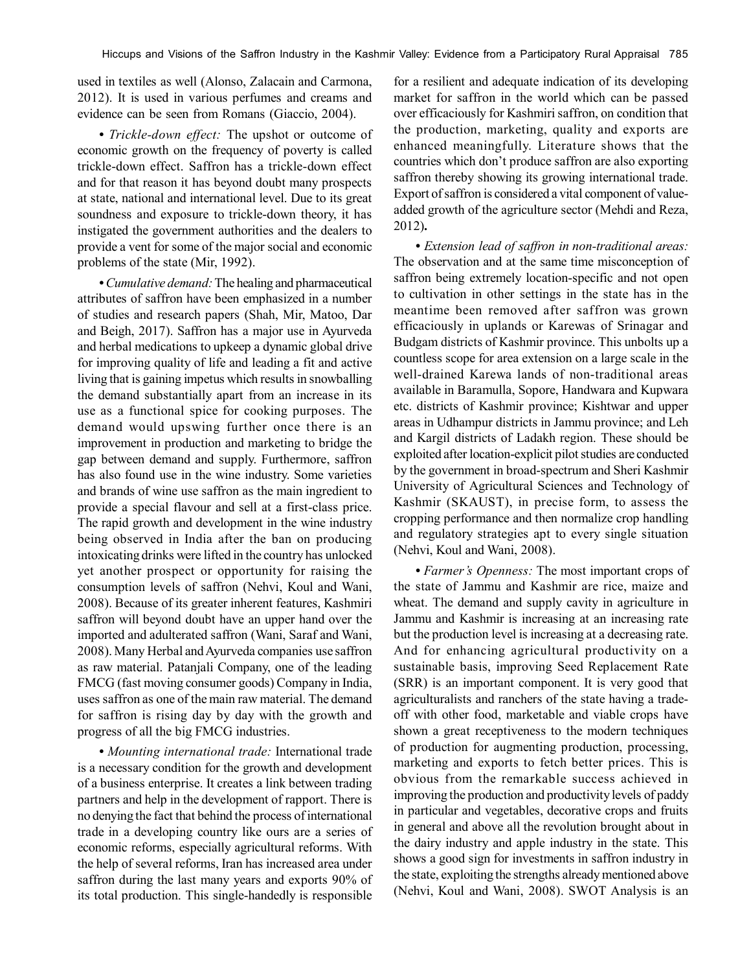used in textiles as well (Alonso, Zalacain and Carmona, 2012). It is used in various perfumes and creams and evidence can be seen from Romans (Giaccio, 2004).

*• Trickle-down effect:* The upshot or outcome of economic growth on the frequency of poverty is called trickle-down effect. Saffron has a trickle-down effect and for that reason it has beyond doubt many prospects at state, national and international level. Due to its great soundness and exposure to trickle-down theory, it has instigated the government authorities and the dealers to provide a vent for some of the major social and economic problems of the state (Mir, 1992).

*• Cumulative demand:* The healing and pharmaceutical attributes of saffron have been emphasized in a number of studies and research papers (Shah, Mir, Matoo, Dar and Beigh, 2017). Saffron has a major use in Ayurveda and herbal medications to upkeep a dynamic global drive for improving quality of life and leading a fit and active living that is gaining impetus which results in snowballing the demand substantially apart from an increase in its use as a functional spice for cooking purposes. The demand would upswing further once there is an improvement in production and marketing to bridge the gap between demand and supply. Furthermore, saffron has also found use in the wine industry. Some varieties and brands of wine use saffron as the main ingredient to provide a special flavour and sell at a first-class price. The rapid growth and development in the wine industry being observed in India after the ban on producing intoxicating drinks were lifted in the country has unlocked yet another prospect or opportunity for raising the consumption levels of saffron (Nehvi, Koul and Wani, 2008). Because of its greater inherent features, Kashmiri saffron will beyond doubt have an upper hand over the imported and adulterated saffron (Wani, Saraf and Wani, 2008). Many Herbal and Ayurveda companies use saffron as raw material. Patanjali Company, one of the leading FMCG (fast moving consumer goods) Company in India, uses saffron as one of the main raw material. The demand for saffron is rising day by day with the growth and progress of all the big FMCG industries.

*• Mounting international trade:* International trade is a necessary condition for the growth and development of a business enterprise. It creates a link between trading partners and help in the development of rapport. There is no denying the fact that behind the process of international trade in a developing country like ours are a series of economic reforms, especially agricultural reforms. With the help of several reforms, Iran has increased area under saffron during the last many years and exports 90% of its total production. This single-handedly is responsible

for a resilient and adequate indication of its developing market for saffron in the world which can be passed over efficaciously for Kashmiri saffron, on condition that the production, marketing, quality and exports are enhanced meaningfully. Literature shows that the countries which don't produce saffron are also exporting saffron thereby showing its growing international trade. Export of saffron is considered a vital component of valueadded growth of the agriculture sector (Mehdi and Reza, 2012)**.**

*• Extension lead of saffron in non-traditional areas:* The observation and at the same time misconception of saffron being extremely location-specific and not open to cultivation in other settings in the state has in the meantime been removed after saffron was grown efficaciously in uplands or Karewas of Srinagar and Budgam districts of Kashmir province. This unbolts up a countless scope for area extension on a large scale in the well-drained Karewa lands of non-traditional areas available in Baramulla, Sopore, Handwara and Kupwara etc. districts of Kashmir province; Kishtwar and upper areas in Udhampur districts in Jammu province; and Leh and Kargil districts of Ladakh region. These should be exploited after location-explicit pilot studies are conducted by the government in broad-spectrum and Sheri Kashmir University of Agricultural Sciences and Technology of Kashmir (SKAUST), in precise form, to assess the cropping performance and then normalize crop handling and regulatory strategies apt to every single situation (Nehvi, Koul and Wani, 2008).

*• Farmer's Openness:* The most important crops of the state of Jammu and Kashmir are rice, maize and wheat. The demand and supply cavity in agriculture in Jammu and Kashmir is increasing at an increasing rate but the production level is increasing at a decreasing rate. And for enhancing agricultural productivity on a sustainable basis, improving Seed Replacement Rate (SRR) is an important component. It is very good that agriculturalists and ranchers of the state having a tradeoff with other food, marketable and viable crops have shown a great receptiveness to the modern techniques of production for augmenting production, processing, marketing and exports to fetch better prices. This is obvious from the remarkable success achieved in improving the production and productivity levels of paddy in particular and vegetables, decorative crops and fruits in general and above all the revolution brought about in the dairy industry and apple industry in the state. This shows a good sign for investments in saffron industry in the state, exploiting the strengths already mentioned above (Nehvi, Koul and Wani, 2008). SWOT Analysis is an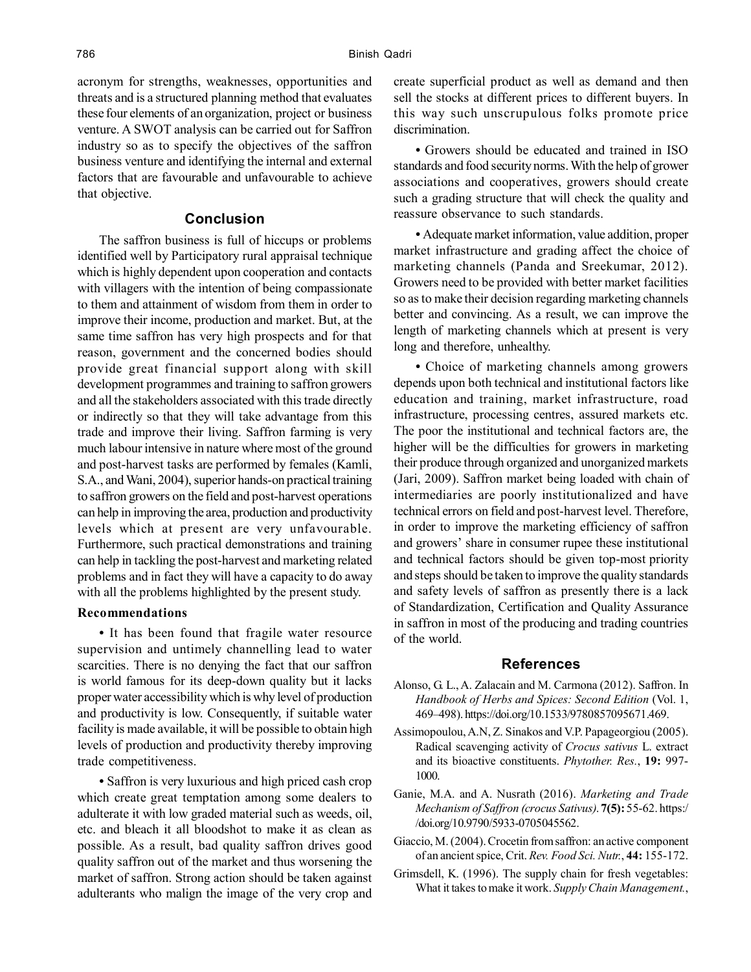acronym for strengths, weaknesses, opportunities and threats and is a structured planning method that evaluates these four elements of an organization, project or business venture. A SWOT analysis can be carried out for Saffron industry so as to specify the objectives of the saffron business venture and identifying the internal and external factors that are favourable and unfavourable to achieve that objective.

## **Conclusion**

The saffron business is full of hiccups or problems identified well by Participatory rural appraisal technique which is highly dependent upon cooperation and contacts with villagers with the intention of being compassionate to them and attainment of wisdom from them in order to improve their income, production and market. But, at the same time saffron has very high prospects and for that reason, government and the concerned bodies should provide great financial support along with skill development programmes and training to saffron growers and all the stakeholders associated with this trade directly or indirectly so that they will take advantage from this trade and improve their living. Saffron farming is very much labour intensive in nature where most of the ground and post-harvest tasks are performed by females (Kamli, S.A., and Wani, 2004), superior hands-on practical training to saffron growers on the field and post-harvest operations can help in improving the area, production and productivity levels which at present are very unfavourable. Furthermore, such practical demonstrations and training can help in tackling the post-harvest and marketing related problems and in fact they will have a capacity to do away with all the problems highlighted by the present study.

#### **Recommendations**

• It has been found that fragile water resource supervision and untimely channelling lead to water scarcities. There is no denying the fact that our saffron is world famous for its deep-down quality but it lacks proper water accessibility which is why level of production and productivity is low. Consequently, if suitable water facility is made available, it will be possible to obtain high levels of production and productivity thereby improving trade competitiveness.

*•* Saffron is very luxurious and high priced cash crop which create great temptation among some dealers to adulterate it with low graded material such as weeds, oil, etc. and bleach it all bloodshot to make it as clean as possible. As a result, bad quality saffron drives good quality saffron out of the market and thus worsening the market of saffron. Strong action should be taken against adulterants who malign the image of the very crop and create superficial product as well as demand and then sell the stocks at different prices to different buyers. In this way such unscrupulous folks promote price discrimination.

*•* Growers should be educated and trained in ISO standards and food security norms. With the help of grower associations and cooperatives, growers should create such a grading structure that will check the quality and reassure observance to such standards.

*•* Adequate market information, value addition, proper market infrastructure and grading affect the choice of marketing channels (Panda and Sreekumar, 2012). Growers need to be provided with better market facilities so as to make their decision regarding marketing channels better and convincing. As a result, we can improve the length of marketing channels which at present is very long and therefore, unhealthy.

*•* Choice of marketing channels among growers depends upon both technical and institutional factors like education and training, market infrastructure, road infrastructure, processing centres, assured markets etc. The poor the institutional and technical factors are, the higher will be the difficulties for growers in marketing their produce through organized and unorganized markets (Jari, 2009). Saffron market being loaded with chain of intermediaries are poorly institutionalized and have technical errors on field and post-harvest level. Therefore, in order to improve the marketing efficiency of saffron and growers' share in consumer rupee these institutional and technical factors should be given top-most priority and steps should be taken to improve the quality standards and safety levels of saffron as presently there is a lack of Standardization, Certification and Quality Assurance in saffron in most of the producing and trading countries of the world.

#### **References**

- Alonso, G. L., A. Zalacain and M. Carmona (2012). Saffron. In *Handbook of Herbs and Spices: Second Edition* (Vol. 1, 469–498). https://doi.org/10.1533/9780857095671.469.
- Assimopoulou, A.N, Z. Sinakos and V.P. Papageorgiou (2005). Radical scavenging activity of *Crocus sativus* L. extract and its bioactive constituents. *Phytother. Res.*, **19:** 997- 1000.
- Ganie, M.A. and A. Nusrath (2016). *Marketing and Trade Mechanism of Saffron (crocus Sativus)*. **7(5):** 55-62. https:/ /doi.org/10.9790/5933-0705045562.
- Giaccio, M. (2004). Crocetin from saffron: an active component of an ancient spice, Crit. *Rev. Food Sci. Nutr.*, **44:** 155-172.
- Grimsdell, K. (1996). The supply chain for fresh vegetables: What it takes to make it work. *Supply Chain Management.*,